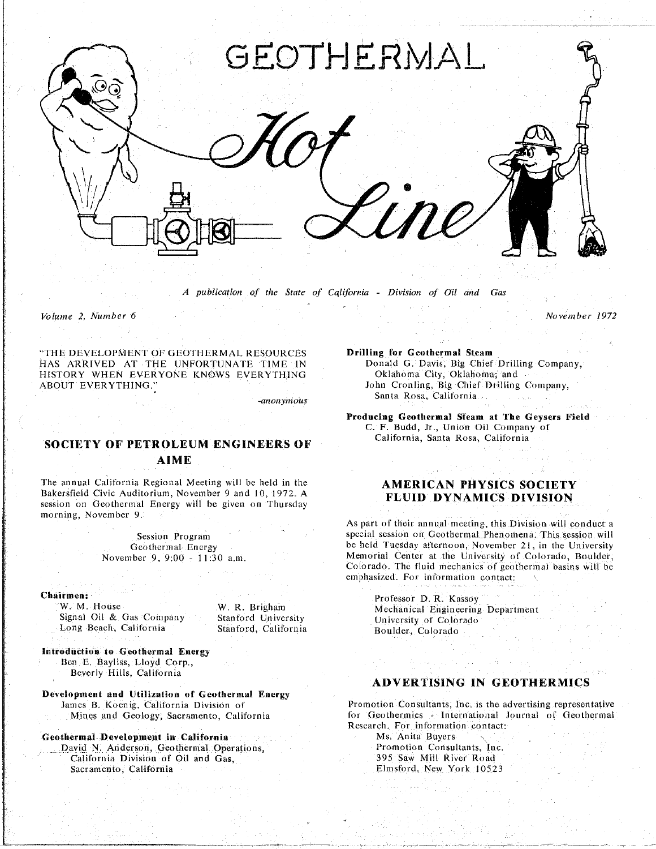

*A publication of the State of C*q*lifornia* - *Division of Oil and Gas* Gas

*Volume 2*. *Number 6 Nove*m*ber 1972*

"THE DEVELO**P**MENT OF GEOTHERMAL RESOURCES **D**r**i**ll**ing fo**r **Geo**t**hermal S**t**eam**  $\blacksquare$ **HISTORY** WHEN EVERYONE KNOWS EVERYTHING CONSTANDOR City, Oklahoma, and  $I$ **Iohn Cronling, Big Chief Drilling Company,** John Cronling, Big Chief Drilling Company,

-*anonymous*

# **SOCI**ET**Y O**F **P**ET**ROLEUM EN***G*INE**ERS OF AIME**

The annual California Regional Meeting will be held in the The annual California Regional Meeting will be held in the **AMERICAN PHYSICS SOCIETY**<br>Bakersfield Civic Auditorium, November 9 and 10, 1972. A **FLUID DYNAMICS DIVISION**  $s$ ession on Geothermal Energy will be given on Thursday session on Geotherman Energy will be given on Thursday with the given on Thursday will be given on Thursday will be given on Thursday will be given on Thursday will be given on Thursday will be given on Thursday will be gi morning, November 9

Chairmen:

Signal Oil & Gas Company Stanford University Music University of Colorado Long Beach, California Stanford, California Boulder, Colorado Long Beach. Califor**n**ia Stanf**o**rd. Californi**a Bo**ulder. Colorado

**In**t**rod**n**c**t**ion to** *G***eo**t**he**rm**al E**n**ergy Beyerly Hills** California **B**e**v**erl**y Hi**ll**s**. C**ali**fi**)**rn**i**a

Development a**nd Utilization of Geotherm**a**l Energy**

**Coothermal Development in California**<br> **Ms. Anita** Buyers **Ms.** David N. Anderson, Geothermal Operations, **Metallicane Consultants, Inc.** 

**California Division of Oil and Gas. Properties Properties Properties Properties California California California Differential Elmstord, New York 10523** S**a**cr**a**me**nto. California Elm**st\_**)**r**d**, **N**ew Y**o**r**k 10**5*2***3**

**ABOUT EVERY PROPERTY CONTROLLER CONTRACT CONTRACT CONTRACT CONTRACT CONTRACT CONTRACT CONTRACT CONTRACT CONTRACT CONTRACT CONTRACT CONTRACT CONTRACT CONTRACT CONTRACT CONTRACT CONTRACT CONTRACT CONTRACT CONTRACT CONTRACT Santa** Ros**a**. C**al**i**f**or**nia**

> **Producing Geoth**erm**al S**\_**eam at The Geysers Fie**l**d** California Santa Dosa California California, Santa Rosa, Californ

As part of their annual meeting, this Division will conduct a special session on Geothermal Phenomena. This session will Session Program special session on Geothermal Phenomena. This session will<br>Geothermal Energy Session Section of the University<br>Geothermal Energy Session was beened Tuesday afternoon, November 21, in the University November 9, 9:00 - 11:30 a.m. Memorial. Center at the University of Colorado, Boulder, Colorado. The fluid mechanics of geothermal basins will be emphasized. For information contact: emphasized. *F*or information contact:

**Irmen: Professor D. R. Kassoy**<br>W. M. House **W. R. Brigham Mechanical Engineering Department** 

# **ADVERTISING IN GEOTHERMICS**

mes B. Koenig, California Division of Promotion Consultants, Inc. is the advertising representative<br>Mines and Geology, Sacramento, California (Section of Geothermics - International Journal of Geothermal Research, For information contact: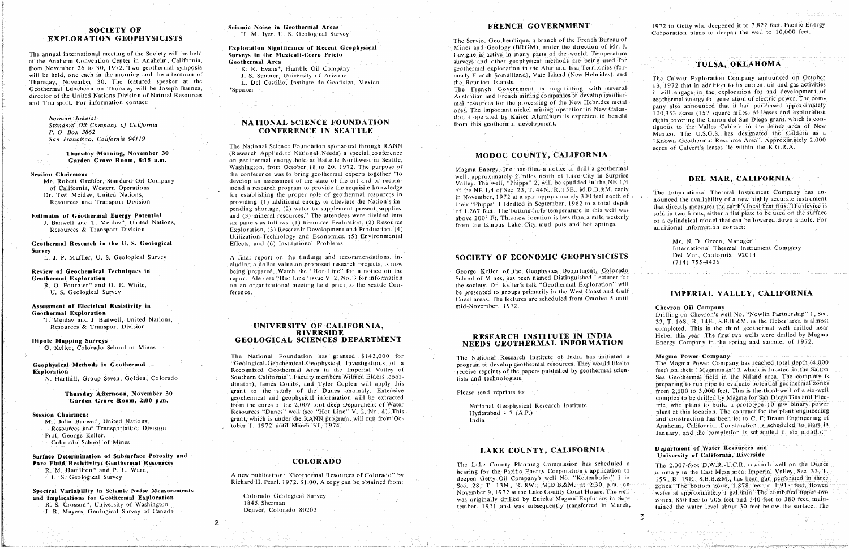# **SOCIETY OF EXPLORATION GEOPHYSICISTS**

The annual international meeting of the Society will be held at the Anaheim Convention Center in Anaheim, California, from November 26 to 30, 1972. Two geothermal symposia will be held, one each in the morning and the afternoon of Thursday, November 30. The featured speaker at the Geothermal Luncheon on Thursday will be Joseph Barnea, director of the United Nations Division of Natural Resources and Transport. For information contact:

#### Norman Jokerst

Standard Oil Company of California P. O. Box 3862 San Francisco, California 94119

> Thursday Morning, November 30 Garden Grove Room, 8:15 a.m.

**Session Chairmen:** 

Mr. Robert Greider, Standard Oil Company of California, Western Operations Dr. Tsvi Meidav, United Nations, Resources and Transport Division

## **Estimates of Geothermal Energy Potential**

J. Banwell and T. Meidav\*, United Nations, Resources & Transport Division

### Geothermal Research in the U.S. Geological **Survey**

L. J. P. Muffler, U. S. Geological Survey

#### Review of Geochemical Techniques in **Geothermal Exploration**

R. O. Fournier\* and D. E. White, U. S. Geological Survey

## Assessment of Electrical Resistivity in

**Geothermal Exploration** T. Meidav and J. Banwell, United Nations, Resources & Transport Division

### Dipole Mapping Surveys

G. Keller, Colorado School of Mines

## Geophysical Methods in Geothermal **Exploration**

N. Harthill, Group Seven, Golden, Colorado

#### Thursday Afternoon, November 30 Garden Grove Room, 2:00 p.m.

#### **Session Chairmen:**

Mr. John Banwell, United Nations, Resources and Transportation Division

Prof. George Keller,

Colorado School of Mines

Surface Determination of Subsurface Porosity and Pore Fluid Resistivity: Geothermal Resources R. M. Hamilton\* and P. L. Ward, U. S. Geological Survey

#### Spectral Variability in Seismic Noise Measurements and Implications for Geothermal Exploration R. S. Crosson\*, University of Washington

I. R. Mayers, Geological Survey of Canada

#### Seismic Noise in Geothermal Areas H. M. Iyer, U. S. Geological Survey

Exploration Significance of Recent Geophysical Surveys in the Mexicali-Cerro Prieto Geothermal Area

K. R. Evans\*, Humble Oil Company

J. S. Sumner, University of Arizona

L. Del Castillo, Institute de Geofisica, Mexico \*Speaker

# **NATIONAL SCIENCE FOUNDATION CONFERENCE IN SEATTLE**

The National Science Foundation sponsored through RANN (Research Applied to National Needs) a special conference on geothermal energy held at Battelle Northwest in Seattle, Washington, from October 18 to 20, 1972. The purpose of the conference was to bring geothermal experts together "to develop an assessment of the state of the art and to recommend a research program to provide the requisite knowledge for establishing the proper role of geothermal resources in providing: (1) additional energy to alleviate the Nation's impending shortage, (2) water to supplement present supplies, and (3) mineral resources." The attendees were divided into six panels as follows: (1) Resource Evaluation, (2) Resource Exploration, (3) Reservoir Development and Production, (4) Utilization-Technology and Economics, (5) Environmental Effects, and (6) Institutional Problems.

A final report on the findings and recommendations, including a dollar value on proposed research projects, is now being prepared. Watch the "Hot Line" for a notice on the report. Also see "Hot Line" issue V. 2, No. 3 for information on an organizational meeting held prior to the Seattle Conference.

### UNIVERSITY OF CALIFORNIA. **RIVERSIDE** GEOLOGICAL SCIENCES DEPARTMENT

The National Foundation has granted \$143,000 for "Geological-Geochemical-Geophysical Investigations of a Recognized Geothermal Area in the Imperial Valley of Southern California". Faculty members Wilfred Elders (coordinator), James Combs, and Tyler Coplen will apply this grant to the study of the Dunes anomaly. Extensive geochemical and geophysical information will be extracted from the cores of the 2,007 foot deep Department of Water Resources "Dunes" well (see "Hot Line" V. 2, No. 4). This grant, which is under the RANN program, will run from October 1, 1972 until March 31, 1974.

# **COLORADO**

A new publication: "Geothermal Resources of Colorado" by Richard H. Pearl, 1972, \$1.00. A copy can be obtained from:

Colorado Geological Survey 1845. Sherman Denver, Colorado 80203

 $\overline{2}$ 

## FRENCH GOVERNMENT

The Service Geothermique, a branch of the French Bureau of Mines and Geology (BRGM), under the direction of Mr. J. Lavigne is active in many parts of the world. Temperature surveys and other geophysical methods are being used for geothermal exploration in the Afar and Issa Territories (formerly French Somaliland), Vate Island (New Hebrides), and the Reunion Islands.

The French Government is negotiating with several Australian and French mining companies to develop geothermal resources for the processing of the New Hebrides metal ores. The important nickel mining operation in New Calendonia operated by Kaiser Aluminum is expected to benefit from this geothermal development.

# MODOC COUNTY, CALIFORNIA

Magma Energy, Inc. has filed a notice to drill a geothermal well, approximately 2 miles north of Lake City in Surprise Valley. The well, "Phipps" 2, will be spudded in the NE 1/4 of the NE 1/4 of Sec. 23, T. 44N., R. 15E., M.D.B.&M. early in November, 1972 at a spot approximately 300 feet north of their "Phipps" 1 (drilled in September, 1962 to a total depth of 1,267 feet. The bottom-hole temperature in this well was above 200° F). This new location is less than a mile westerly from the famous Lake City mud pots and hot springs.

# SOCIETY OF ECONOMIC GEOPHYSICISTS

George Keller of the Geophysics Department, Colorado School of Mines, has been named Distinguished Lecturer for the society. Dr. Keller's talk "Geothermal Exploration" will be presented to groups primarily in the West Coast and Gulf Coast areas. The lectures are scheduled from October 5 until mid-November, 1972.

## RESEARCH INSTITUTE IN INDIA NEEDS GEOTHERMAL INFORMATION

The National Research Institute of India has initiated a program to develop geothermal resources. They would like to receive reprints of the papers published by geothermal scientists and technologists.

Please send reprints to:

National Geophysical Research Institute Hyderabad -  $7(A.P.)$ India

## LAKE COUNTY, CALIFORNIA

The Lake County Planning Commission has scheduled a hearing for the Pacific Energy Corporation's application to deepen Getty Oil Company's well No. "Kettenhofen" 1 in Sec. 28, T. 13N., R. 8W., M.D.B.&M. at 2:30 p.m. on-November 9, 1972 at the Lake County Court House. The well was originally drilled by Eureka Magma Explorers in September, 1971 and was subsequently transferred in March,

1972 to Getty who deepened it to 7,822 feet. Pacific Energy Corporation plans to deepen the well to 10,000 feet.

# TULSA, OKLAHOMA

The Calvert Exploration Company announced on October 13, 1972 that in addition to its current oil and gas activities it will engage in the exploration for and development of geothermal energy for generation of electric power. The company also announced that it had purchased approximately 100,353 acres (157 square miles) of leases and exploration rights covering the Canon del San Diego grant, which is contiguous to the Valles Caldera in the Jemez area of New Mexico. The U.S.G.S. has designated the Caldera as a "Known Geothermal Resource Area". Approximately 2,000 acres of Calvert's leases lie within the K.G.R.A.

# DEL MAR, CALIFORNIA

The International Thermal Instrument Company has announced the availability of a new highly accurate instrument that directly measures the earth's local heat flux. The device is sold in two forms, either a flat plate to be used on the surface or a cylindrical model that can be lowered down a hole. For additional information contact:

> Mr. N. D. Green, Manager International Thermal Instrument Company Del Mar, California 92014  $(714) 755 - 4436$

وسعين والمحافي والمستنقع كأواد المتعمل فستواميه المستوا والمعارض المنابس والمستنب

## IMPERIAL VALLEY, CALIFORNIA

Chevron Oil Company

Drilling on Chevron's well No. "Nowlin Partnership" 1, Sec. 33. T. 16S., R. 14E., S.B.B.&M. in the Heber area is almost completed. This is the third geothermal well drilled near Heber this year. The first two wells were drilled by Magma Energy Company in the spring and summer of 1972.

#### Magma Power Company

The Magma Power Company has reached total depth (4,000 feet) on their "Magmamax" 3 which is located in the Salton Sea Geothermal field in the Niland area. The company is preparing to run pipe to evaluate potential geothermal zones from  $2,600$  to  $3,000$  feet. This is the third well of a six-well complex to be drilled by Magma for San Diego Gas and Electric, who plans to build a prototype 10 mw binary power plant at this location. The contract for the plant engineering and construction has been let to C. F. Braun Engineering of Anaheim, California. Construction is scheduled to start in January, and the completion is scheduled in six months.

#### Department of Water Resources and University of California, Riverside

The 2.007-foot D.W.R.-U.C.R. research well on the Dunes anomaly in the East Mesa area, Imperial Valley, Sec. 33, T. 15S., R. 19E., S.B.B.&M., has been gun perforated in three zones. The bottom zone, 1,878 feet to 1,918 feet, flowed water at approximately 1 gal./min. The combined upper two zones, 850 feet to 905 feet and 340 feet to 380 feet, maintained the water level about 30 feet below the surface. The

 $\overline{5}$